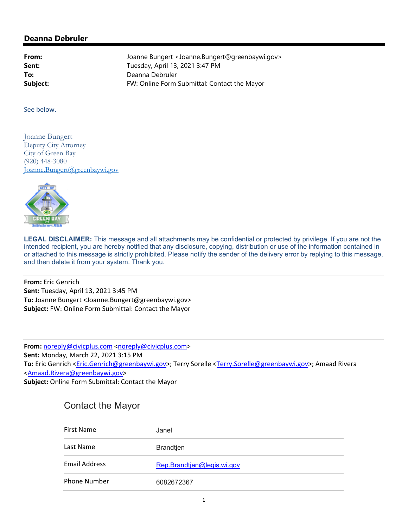## **Deanna Debruler**

**From:** Joanne Bungert <Joanne.Bungert@greenbaywi.gov> **Sent:** Tuesday, April 13, 2021 3:47 PM **To:** Deanna Debruler **Subject:** FW: Online Form Submittal: Contact the Mayor

See below.

Joanne Bungert Deputy City Attorney City of Green Bay (920) 448-3080 Joanne.Bungert@greenbaywi.gov



**LEGAL DISCLAIMER:** This message and all attachments may be confidential or protected by privilege. If you are not the intended recipient, you are hereby notified that any disclosure, copying, distribution or use of the information contained in or attached to this message is strictly prohibited. Please notify the sender of the delivery error by replying to this message, and then delete it from your system. Thank you.

**From:** Eric Genrich **Sent:** Tuesday, April 13, 2021 3:45 PM **To:** Joanne Bungert <Joanne.Bungert@greenbaywi.gov> **Subject:** FW: Online Form Submittal: Contact the Mayor

**From:** noreply@civicplus.com <noreply@civicplus.com> **Sent:** Monday, March 22, 2021 3:15 PM **To:** Eric Genrich <Eric.Genrich@greenbaywi.gov>; Terry Sorelle <Terry.Sorelle@greenbaywi.gov>; Amaad Rivera <Amaad.Rivera@greenbaywi.gov> **Subject:** Online Form Submittal: Contact the Mayor

| <b>Contact the Mayor</b> |  |
|--------------------------|--|
|--------------------------|--|

| First Name           | Janel                      |
|----------------------|----------------------------|
| Last Name            | <b>Brandtjen</b>           |
| <b>Email Address</b> | Rep.Brandtjen@legis.wi.gov |
| Phone Number         | 6082672367                 |